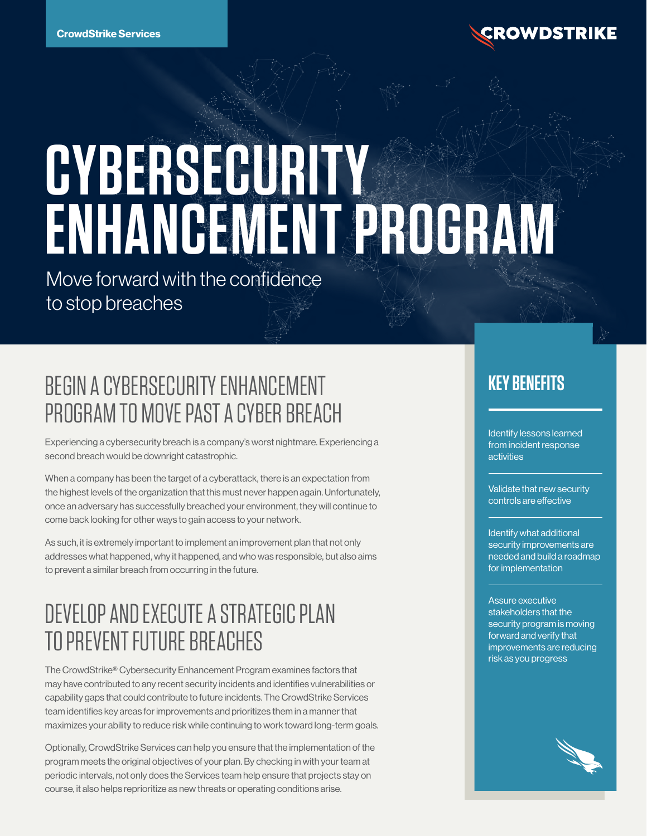

# **CYBERSECURITY ENHANCEMENT PROGRAM**

Move forward with the confidence to stop breaches

# BEGIN A CYBERSECURITY ENHANCEMENT PROGRAM TO MOVE PAST A CYBER BREACH

Experiencing a cybersecurity breach is a company's worst nightmare. Experiencing a second breach would be downright catastrophic.

When a company has been the target of a cyberattack, there is an expectation from the highest levels of the organization that this must never happen again. Unfortunately, once an adversary has successfully breached your environment, they will continue to come back looking for other ways to gain access to your network.

As such, it is extremely important to implement an improvement plan that not only addresses what happened, why it happened, and who was responsible, but also aims to prevent a similar breach from occurring in the future.

# DEVELOP AND EXECUTE A STRATEGIC PLAN TO PREVENT FUTURE BREACHES

The CrowdStrike® Cybersecurity Enhancement Program examines factors that may have contributed to any recent security incidents and identifies vulnerabilities or capability gaps that could contribute to future incidents. The CrowdStrike Services team identifies key areas for improvements and prioritizes them in a manner that maximizes your ability to reduce risk while continuing to work toward long-term goals.

Optionally, CrowdStrike Services can help you ensure that the implementation of the program meets the original objectives of your plan. By checking in with your team at periodic intervals, not only does the Services team help ensure that projects stay on course, it also helps reprioritize as new threats or operating conditions arise.

## **KEY BENEFITS**

Identify lessons learned from incident response activities

Validate that new security controls are effective

#### Identify what additional security improvements are needed and build a roadmap for implementation

#### Assure executive stakeholders that the security program is moving forward and verify that improvements are reducing risk as you progress